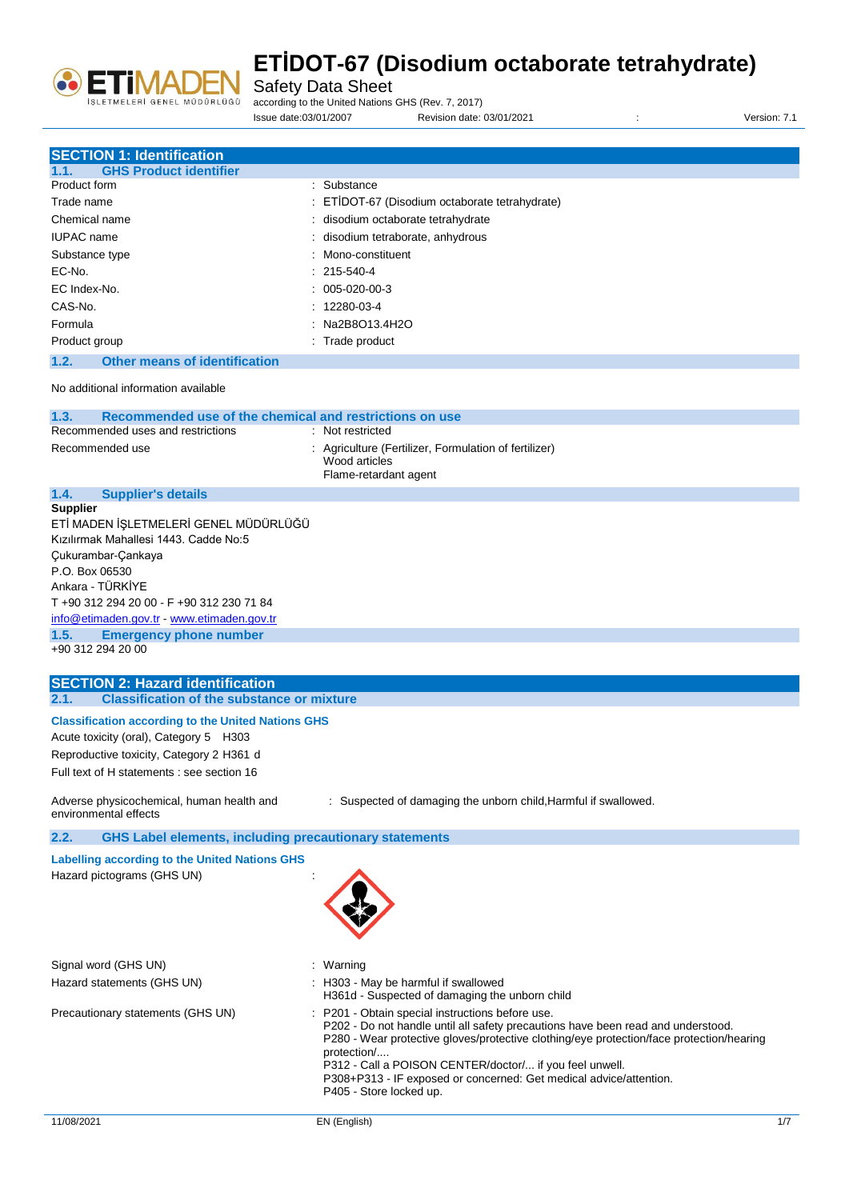

**SECTION 1: Identification**

# **ETİDOT-67 (Disodium octaborate tetrahydrate)**

Safety Data Sheet

according to the United Nations GHS (Rev. 7, 2017)

Issue date:03/01/2007 Revision date: 03/01/2021 : Version: 7.1

| <b>SECTION 1: Identification</b>                                                                                                                                                                                                                                                                                                                                                                                             |                                                                                                                                                                                                                                                                                                                                                                                                           |
|------------------------------------------------------------------------------------------------------------------------------------------------------------------------------------------------------------------------------------------------------------------------------------------------------------------------------------------------------------------------------------------------------------------------------|-----------------------------------------------------------------------------------------------------------------------------------------------------------------------------------------------------------------------------------------------------------------------------------------------------------------------------------------------------------------------------------------------------------|
| <b>GHS Product identifier</b><br>1.1.<br><b>Product form</b>                                                                                                                                                                                                                                                                                                                                                                 | : Substance                                                                                                                                                                                                                                                                                                                                                                                               |
| Trade name                                                                                                                                                                                                                                                                                                                                                                                                                   |                                                                                                                                                                                                                                                                                                                                                                                                           |
|                                                                                                                                                                                                                                                                                                                                                                                                                              | ETİDOT-67 (Disodium octaborate tetrahydrate)                                                                                                                                                                                                                                                                                                                                                              |
| Chemical name                                                                                                                                                                                                                                                                                                                                                                                                                | disodium octaborate tetrahydrate                                                                                                                                                                                                                                                                                                                                                                          |
| <b>IUPAC</b> name                                                                                                                                                                                                                                                                                                                                                                                                            | disodium tetraborate, anhydrous                                                                                                                                                                                                                                                                                                                                                                           |
| Substance type                                                                                                                                                                                                                                                                                                                                                                                                               | Mono-constituent                                                                                                                                                                                                                                                                                                                                                                                          |
| EC-No.                                                                                                                                                                                                                                                                                                                                                                                                                       | 215-540-4                                                                                                                                                                                                                                                                                                                                                                                                 |
| EC Index-No.                                                                                                                                                                                                                                                                                                                                                                                                                 | 005-020-00-3                                                                                                                                                                                                                                                                                                                                                                                              |
| CAS-No.                                                                                                                                                                                                                                                                                                                                                                                                                      | 12280-03-4                                                                                                                                                                                                                                                                                                                                                                                                |
| Formula                                                                                                                                                                                                                                                                                                                                                                                                                      | Na2B8O13.4H2O                                                                                                                                                                                                                                                                                                                                                                                             |
| Product group                                                                                                                                                                                                                                                                                                                                                                                                                | : Trade product                                                                                                                                                                                                                                                                                                                                                                                           |
| 1.2.<br><b>Other means of identification</b>                                                                                                                                                                                                                                                                                                                                                                                 |                                                                                                                                                                                                                                                                                                                                                                                                           |
| No additional information available                                                                                                                                                                                                                                                                                                                                                                                          |                                                                                                                                                                                                                                                                                                                                                                                                           |
| 1.3.<br>Recommended use of the chemical and restrictions on use                                                                                                                                                                                                                                                                                                                                                              |                                                                                                                                                                                                                                                                                                                                                                                                           |
| Recommended uses and restrictions                                                                                                                                                                                                                                                                                                                                                                                            | Not restricted                                                                                                                                                                                                                                                                                                                                                                                            |
| Recommended use                                                                                                                                                                                                                                                                                                                                                                                                              | : Agriculture (Fertilizer, Formulation of fertilizer)<br>Wood articles<br>Flame-retardant agent                                                                                                                                                                                                                                                                                                           |
| 1.4.<br><b>Supplier's details</b>                                                                                                                                                                                                                                                                                                                                                                                            |                                                                                                                                                                                                                                                                                                                                                                                                           |
| <b>Supplier</b><br>ETİ MADEN İŞLETMELERİ GENEL MÜDÜRLÜĞÜ<br>Kızılırmak Mahallesi 1443. Cadde No:5<br>Çukurambar-Çankaya<br>P.O. Box 06530<br>Ankara - TÜRKİYE<br>T +90 312 294 20 00 - F +90 312 230 71 84<br>info@etimaden.gov.tr www.etimaden.gov.tr<br>1.5.<br><b>Emergency phone number</b><br>+90 312 294 20 00<br><b>SECTION 2: Hazard identification</b><br><b>Classification of the substance or mixture</b><br>2.1. |                                                                                                                                                                                                                                                                                                                                                                                                           |
| <b>Classification according to the United Nations GHS</b><br>Acute toxicity (oral), Category 5 H303<br>Reproductive toxicity, Category 2 H361 d<br>Full text of H statements : see section 16                                                                                                                                                                                                                                |                                                                                                                                                                                                                                                                                                                                                                                                           |
| Adverse physicochemical, human health and<br>environmental effects                                                                                                                                                                                                                                                                                                                                                           | : Suspected of damaging the unborn child, Harmful if swallowed.                                                                                                                                                                                                                                                                                                                                           |
| 2.2.<br><b>GHS Label elements, including precautionary statements</b>                                                                                                                                                                                                                                                                                                                                                        |                                                                                                                                                                                                                                                                                                                                                                                                           |
| <b>Labelling according to the United Nations GHS</b><br>Hazard pictograms (GHS UN)                                                                                                                                                                                                                                                                                                                                           |                                                                                                                                                                                                                                                                                                                                                                                                           |
| Signal word (GHS UN)                                                                                                                                                                                                                                                                                                                                                                                                         | : Warning                                                                                                                                                                                                                                                                                                                                                                                                 |
| Hazard statements (GHS UN)                                                                                                                                                                                                                                                                                                                                                                                                   | : H303 - May be harmful if swallowed<br>H361d - Suspected of damaging the unborn child                                                                                                                                                                                                                                                                                                                    |
| Precautionary statements (GHS UN)                                                                                                                                                                                                                                                                                                                                                                                            | P201 - Obtain special instructions before use.<br>P202 - Do not handle until all safety precautions have been read and understood.<br>P280 - Wear protective gloves/protective clothing/eye protection/face protection/hearing<br>protection/<br>P312 - Call a POISON CENTER/doctor/ if you feel unwell.<br>P308+P313 - IF exposed or concerned: Get medical advice/attention.<br>P405 - Store locked up. |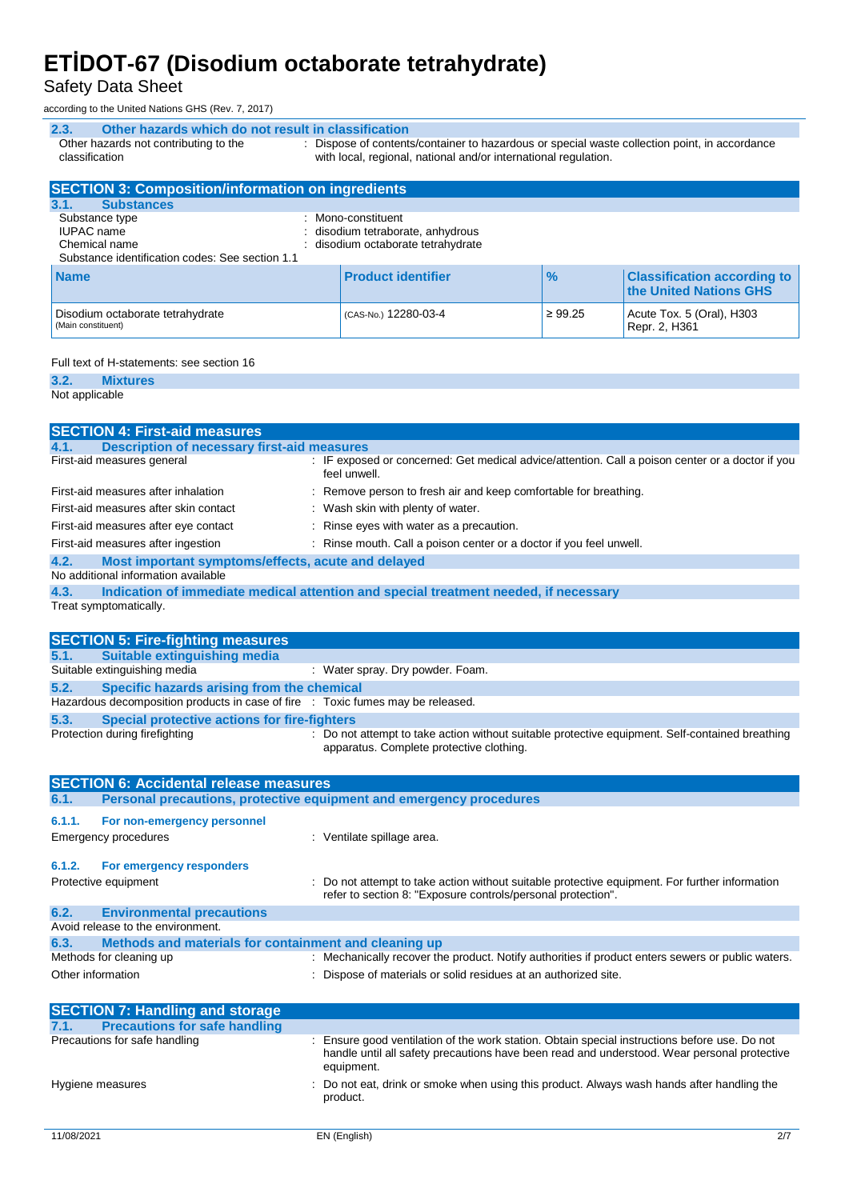Safety Data Sheet

according to the United Nations GHS (Rev. 7, 2017)

| Other hazards which do not result in classification<br>2.3.                                                  |                                                                                                                                                                  |               |                                                              |
|--------------------------------------------------------------------------------------------------------------|------------------------------------------------------------------------------------------------------------------------------------------------------------------|---------------|--------------------------------------------------------------|
| Other hazards not contributing to the<br>classification                                                      | : Dispose of contents/container to hazardous or special waste collection point, in accordance<br>with local, regional, national and/or international regulation. |               |                                                              |
| <b>SECTION 3: Composition/information on ingredients</b>                                                     |                                                                                                                                                                  |               |                                                              |
| <b>Substances</b><br>3.1.                                                                                    |                                                                                                                                                                  |               |                                                              |
| Substance type<br>٠<br><b>IUPAC</b> name<br>Chemical name<br>Substance identification codes: See section 1.1 | Mono-constituent<br>disodium tetraborate, anhydrous<br>disodium octaborate tetrahydrate                                                                          |               |                                                              |
| <b>Name</b>                                                                                                  | <b>Product identifier</b>                                                                                                                                        | $\frac{9}{6}$ | <b>Classification according to</b><br>the United Nations GHS |
| Disodium octaborate tetrahydrate<br>(Main constituent)                                                       | (CAS-No.) 12280-03-4                                                                                                                                             | $\geq 99.25$  | Acute Tox. 5 (Oral), H303<br>Repr. 2, H361                   |

#### Full text of H-statements: see section 16

| 3.2.     |   |  | <b>Mixtures</b> |
|----------|---|--|-----------------|
| $\cdots$ | . |  |                 |

Not applicable

|        | <b>SECTION 4: First-aid measures</b>                                            |                                                                                                                                             |
|--------|---------------------------------------------------------------------------------|---------------------------------------------------------------------------------------------------------------------------------------------|
| 4.1.   | <b>Description of necessary first-aid measures</b>                              |                                                                                                                                             |
|        | First-aid measures general                                                      | : IF exposed or concerned: Get medical advice/attention. Call a poison center or a doctor if you<br>feel unwell.                            |
|        | First-aid measures after inhalation                                             | : Remove person to fresh air and keep comfortable for breathing.                                                                            |
|        | First-aid measures after skin contact                                           | : Wash skin with plenty of water.                                                                                                           |
|        | First-aid measures after eye contact                                            | : Rinse eyes with water as a precaution.                                                                                                    |
|        | First-aid measures after ingestion                                              | : Rinse mouth. Call a poison center or a doctor if you feel unwell.                                                                         |
| 4.2.   | Most important symptoms/effects, acute and delayed                              |                                                                                                                                             |
|        | No additional information available                                             |                                                                                                                                             |
| 4.3.   |                                                                                 | Indication of immediate medical attention and special treatment needed, if necessary                                                        |
|        | Treat symptomatically.                                                          |                                                                                                                                             |
|        |                                                                                 |                                                                                                                                             |
|        | <b>SECTION 5: Fire-fighting measures</b>                                        |                                                                                                                                             |
| 5.1.   | <b>Suitable extinguishing media</b>                                             |                                                                                                                                             |
|        | Suitable extinguishing media                                                    | : Water spray. Dry powder. Foam.                                                                                                            |
| 5.2.   | Specific hazards arising from the chemical                                      |                                                                                                                                             |
|        | Hazardous decomposition products in case of fire : Toxic fumes may be released. |                                                                                                                                             |
| 5.3.   | <b>Special protective actions for fire-fighters</b>                             |                                                                                                                                             |
|        | Protection during firefighting                                                  | : Do not attempt to take action without suitable protective equipment. Self-contained breathing<br>apparatus. Complete protective clothing. |
|        |                                                                                 |                                                                                                                                             |
|        | <b>SECTION 6: Accidental release measures</b>                                   |                                                                                                                                             |
| 6.1.   |                                                                                 | Personal precautions, protective equipment and emergency procedures                                                                         |
| 6.1.1. | For non-emergency personnel                                                     |                                                                                                                                             |
|        | <b>Emergency procedures</b>                                                     | : Ventilate spillage area.                                                                                                                  |
| 6.1.2. | For emergency responders                                                        |                                                                                                                                             |
|        | Protective equipment                                                            | Do not attempt to take action without suitable protective equipment. For further information                                                |
|        |                                                                                 | refer to section 8: "Exposure controls/personal protection".                                                                                |

| 6.2.              | <b>Environmental precautions</b>                      |                                                                                                   |
|-------------------|-------------------------------------------------------|---------------------------------------------------------------------------------------------------|
|                   | Avoid release to the environment.                     |                                                                                                   |
| 6.3.              | Methods and materials for containment and cleaning up |                                                                                                   |
|                   | Methods for cleaning up                               | : Mechanically recover the product. Notify authorities if product enters sewers or public waters. |
| Other information |                                                       | : Dispose of materials or solid residues at an authorized site.                                   |

| <b>SECTION 7: Handling and storage</b>       |                                                                                                                                                                                                          |
|----------------------------------------------|----------------------------------------------------------------------------------------------------------------------------------------------------------------------------------------------------------|
| <b>Precautions for safe handling</b><br>7.1. |                                                                                                                                                                                                          |
| Precautions for safe handling                | Ensure good ventilation of the work station. Obtain special instructions before use. Do not<br>handle until all safety precautions have been read and understood. Wear personal protective<br>equipment. |
| Hygiene measures                             | : Do not eat, drink or smoke when using this product. Always wash hands after handling the<br>product.                                                                                                   |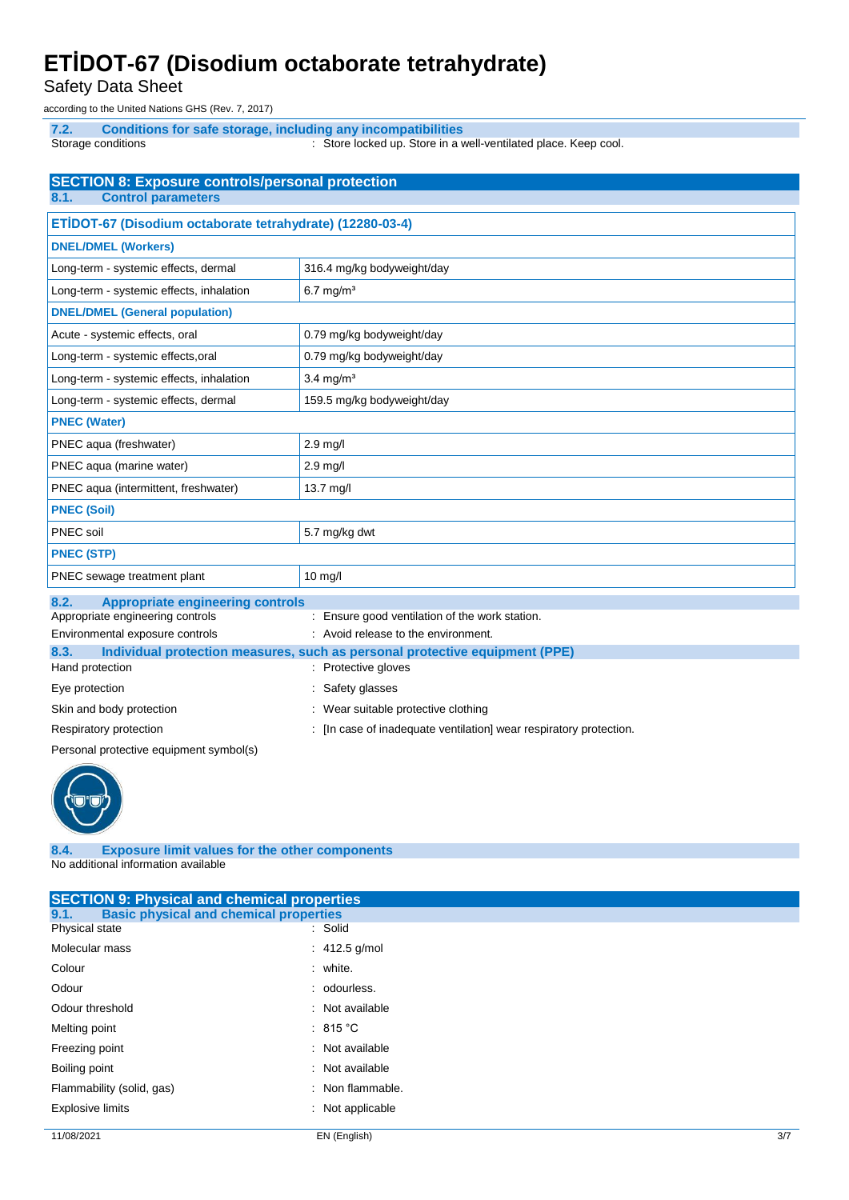Safety Data Sheet

according to the United Nations GHS (Rev. 7, 2017)

**7.2. Conditions for safe storage, including any incompatibilities** Storage conditions **Store in a well-ventilated place.** Keep cool. Store in a well-ventilated place. Keep cool.

| <b>SECTION 8: Exposure controls/personal protection</b>   |                                                                             |  |
|-----------------------------------------------------------|-----------------------------------------------------------------------------|--|
| <b>Control parameters</b><br>8.1.                         |                                                                             |  |
| ETİDOT-67 (Disodium octaborate tetrahydrate) (12280-03-4) |                                                                             |  |
| <b>DNEL/DMEL (Workers)</b>                                |                                                                             |  |
| Long-term - systemic effects, dermal                      | 316.4 mg/kg bodyweight/day                                                  |  |
| Long-term - systemic effects, inhalation                  | $6.7$ mg/m <sup>3</sup>                                                     |  |
| <b>DNEL/DMEL (General population)</b>                     |                                                                             |  |
| Acute - systemic effects, oral                            | 0.79 mg/kg bodyweight/day                                                   |  |
| Long-term - systemic effects, oral                        | 0.79 mg/kg bodyweight/day                                                   |  |
| Long-term - systemic effects, inhalation                  | $3.4$ mg/m <sup>3</sup>                                                     |  |
| Long-term - systemic effects, dermal                      | 159.5 mg/kg bodyweight/day                                                  |  |
| <b>PNEC (Water)</b>                                       |                                                                             |  |
| PNEC aqua (freshwater)                                    | 2.9 mg/l                                                                    |  |
| PNEC aqua (marine water)                                  | 2.9 mg/l                                                                    |  |
| PNEC aqua (intermittent, freshwater)                      | 13.7 mg/l                                                                   |  |
| <b>PNEC (Soil)</b>                                        |                                                                             |  |
| PNEC soil                                                 | 5.7 mg/kg dwt                                                               |  |
| <b>PNEC (STP)</b>                                         |                                                                             |  |
| PNEC sewage treatment plant                               | $10$ mg/l                                                                   |  |
| <b>Appropriate engineering controls</b><br>8.2.           |                                                                             |  |
| Appropriate engineering controls                          | : Ensure good ventilation of the work station.                              |  |
| Environmental exposure controls                           | : Avoid release to the environment.                                         |  |
| 8.3.                                                      | Individual protection measures, such as personal protective equipment (PPE) |  |
| Hand protection                                           | : Protective gloves                                                         |  |
| Eye protection                                            | Safety glasses                                                              |  |
| Skin and body protection                                  | Wear suitable protective clothing                                           |  |
| Respiratory protection                                    | [In case of inadequate ventilation] wear respiratory protection.            |  |
|                                                           |                                                                             |  |

Personal protective equipment symbol(s)



**8.4. Exposure limit values for the other components** No additional information available

| <b>SECTION 9: Physical and chemical properties</b>    |                  |  |
|-------------------------------------------------------|------------------|--|
| <b>Basic physical and chemical properties</b><br>9.1. |                  |  |
| Physical state                                        | : Solid          |  |
| Molecular mass                                        | : $412.5$ g/mol  |  |
| Colour                                                | : white.         |  |
| Odour                                                 | : odourless.     |  |
| Odour threshold                                       | : Not available  |  |
| Melting point                                         | : 815 °C         |  |
| Freezing point                                        | : Not available  |  |
| Boiling point                                         | : Not available  |  |
| Flammability (solid, gas)                             | : Non flammable. |  |
| <b>Explosive limits</b>                               | : Not applicable |  |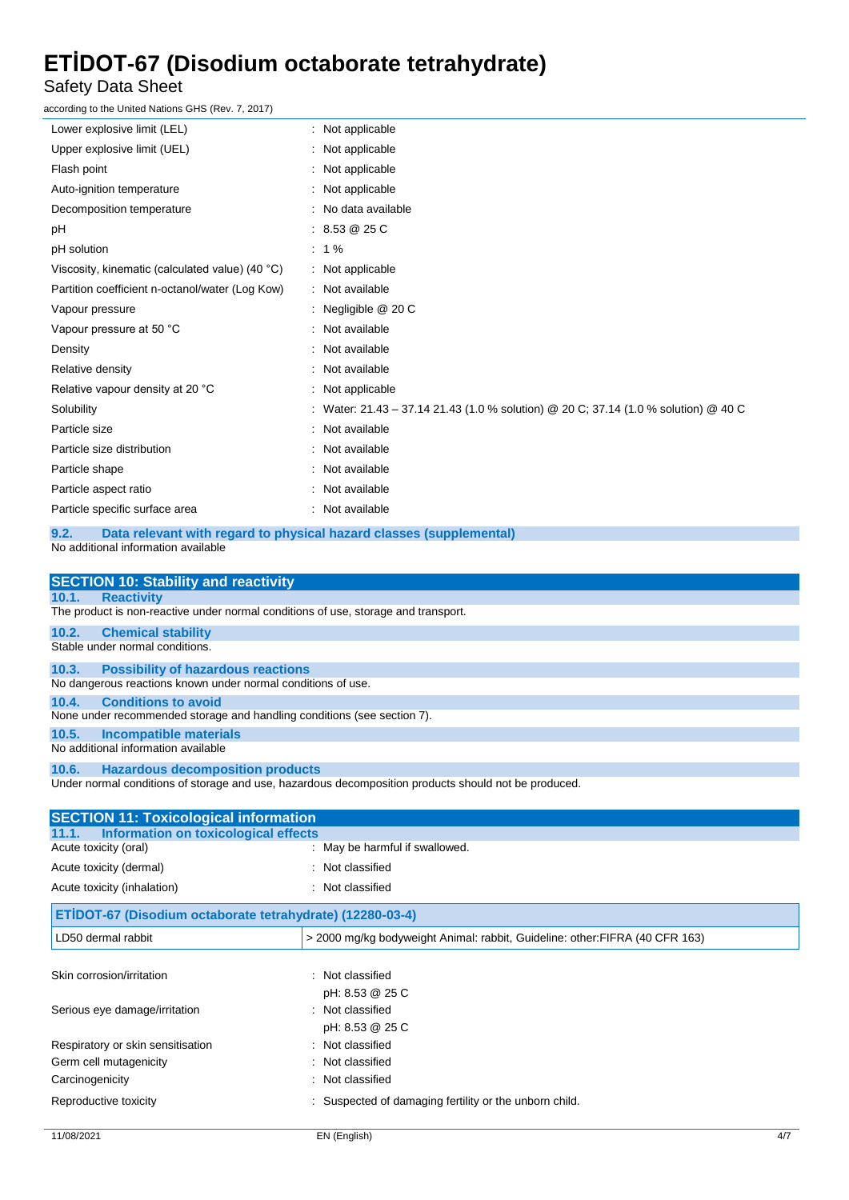Safety Data Sheet

according to the United Nations GHS (Rev. 7, 2017)

| : Not applicable                                                                    |
|-------------------------------------------------------------------------------------|
| : Not applicable                                                                    |
| : Not applicable                                                                    |
| : Not applicable                                                                    |
| : No data available                                                                 |
| : 8.53 @ 25 C                                                                       |
| $: 1\%$                                                                             |
| : Not applicable                                                                    |
| : Not available                                                                     |
| : Negligible @ 20 C                                                                 |
| : Not available                                                                     |
| : Not available                                                                     |
| : Not available                                                                     |
| : Not applicable                                                                    |
| : Water: 21.43 – 37.14 21.43 (1.0 % solution) @ 20 C; 37.14 (1.0 % solution) @ 40 C |
| : Not available                                                                     |
| : Not available                                                                     |
| : Not available                                                                     |
| Not available                                                                       |
| : Not available                                                                     |
|                                                                                     |

#### **9.2. Data relevant with regard to physical hazard classes (supplemental)**

No additional information available

|                                     | <b>SECTION 10: Stability and reactivity</b>                                                          |  |  |
|-------------------------------------|------------------------------------------------------------------------------------------------------|--|--|
| <b>Reactivity</b><br>10.1.          |                                                                                                      |  |  |
|                                     | The product is non-reactive under normal conditions of use, storage and transport.                   |  |  |
| 10.2.<br><b>Chemical stability</b>  |                                                                                                      |  |  |
| Stable under normal conditions.     |                                                                                                      |  |  |
| 10.3.                               | <b>Possibility of hazardous reactions</b>                                                            |  |  |
|                                     | No dangerous reactions known under normal conditions of use.                                         |  |  |
| 10.4.                               | <b>Conditions to avoid</b>                                                                           |  |  |
|                                     | None under recommended storage and handling conditions (see section 7).                              |  |  |
| 10.5.                               | <b>Incompatible materials</b>                                                                        |  |  |
| No additional information available |                                                                                                      |  |  |
| 10.6.                               | <b>Hazardous decomposition products</b>                                                              |  |  |
|                                     | Under normal conditions of storage and use, hazardous decomposition products should not be produced. |  |  |
|                                     | <b>SECTION 11: Toxicological information</b>                                                         |  |  |
| 11.1.                               | <b>Information on toxicological effects</b>                                                          |  |  |
| Acute toxicity (oral)               | : May be harmful if swallowed.                                                                       |  |  |
| Acute toxicity (dermal)             | : Not classified                                                                                     |  |  |
| Acute toxicity (inhalation)         | : Not classified                                                                                     |  |  |

| ETİDOT-67 (Disodium octaborate tetrahydrate) (12280-03-4) |                                                                              |  |
|-----------------------------------------------------------|------------------------------------------------------------------------------|--|
| LD50 dermal rabbit                                        | > 2000 mg/kg bodyweight Animal: rabbit, Guideline: other: FIFRA (40 CFR 163) |  |
|                                                           |                                                                              |  |
| Skin corrosion/irritation                                 | : Not classified                                                             |  |
|                                                           | pH: 8.53 @ 25 C                                                              |  |
| Serious eye damage/irritation                             | : Not classified                                                             |  |
|                                                           | pH: 8.53 @ 25 C                                                              |  |
| Respiratory or skin sensitisation                         | : Not classified                                                             |  |
| Germ cell mutagenicity                                    | : Not classified                                                             |  |
| Carcinogenicity                                           | : Not classified                                                             |  |
| Reproductive toxicity                                     | Suspected of damaging fertility or the unborn child.                         |  |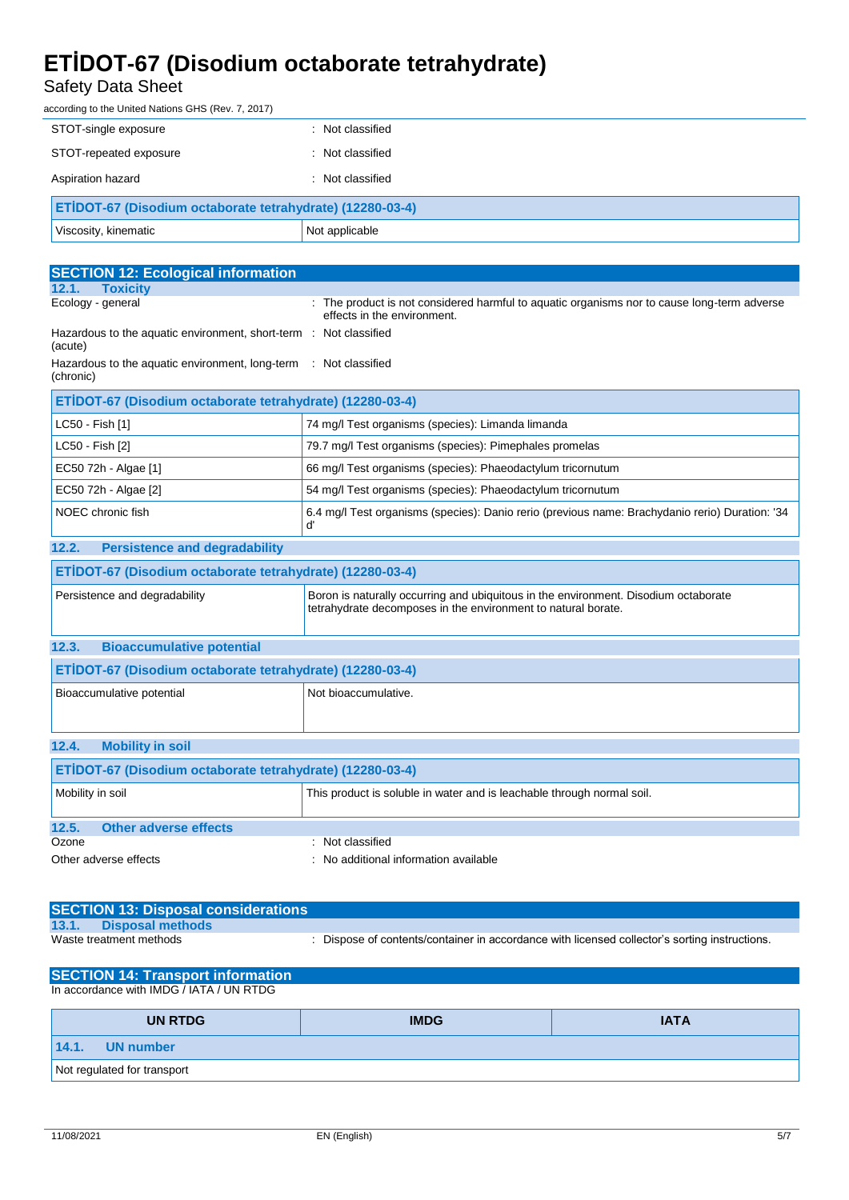### Safety Data Sheet

according to the United Nations GHS (Rev. 7, 2017)

| STOT-single exposure                                      | : Not classified |
|-----------------------------------------------------------|------------------|
| STOT-repeated exposure                                    | Not classified   |
| Aspiration hazard                                         | Not classified   |
| ETIDOT-67 (Disodium octaborate tetrahydrate) (12280-03-4) |                  |
| Viscosity, kinematic                                      | Not applicable   |

| <b>SECTION 12: Ecological information</b>                                    |                                                                                                                                                      |  |
|------------------------------------------------------------------------------|------------------------------------------------------------------------------------------------------------------------------------------------------|--|
| <b>Toxicity</b><br>12.1.                                                     |                                                                                                                                                      |  |
| Ecology - general                                                            | : The product is not considered harmful to aquatic organisms nor to cause long-term adverse<br>effects in the environment.                           |  |
| Hazardous to the aquatic environment, short-term : Not classified<br>(acute) |                                                                                                                                                      |  |
| Hazardous to the aquatic environment, long-term<br>(chronic)                 | : Not classified                                                                                                                                     |  |
| ETİDOT-67 (Disodium octaborate tetrahydrate) (12280-03-4)                    |                                                                                                                                                      |  |
| LC50 - Fish [1]                                                              | 74 mg/l Test organisms (species): Limanda limanda                                                                                                    |  |
| LC50 - Fish [2]                                                              | 79.7 mg/l Test organisms (species): Pimephales promelas                                                                                              |  |
| EC50 72h - Algae [1]                                                         | 66 mg/l Test organisms (species): Phaeodactylum tricornutum                                                                                          |  |
| EC50 72h - Algae [2]                                                         | 54 mg/l Test organisms (species): Phaeodactylum tricornutum                                                                                          |  |
| NOEC chronic fish                                                            | 6.4 mg/l Test organisms (species): Danio rerio (previous name: Brachydanio rerio) Duration: '34<br>ď                                                 |  |
| <b>Persistence and degradability</b><br>12.2.                                |                                                                                                                                                      |  |
| ETİDOT-67 (Disodium octaborate tetrahydrate) (12280-03-4)                    |                                                                                                                                                      |  |
| Persistence and degradability                                                | Boron is naturally occurring and ubiquitous in the environment. Disodium octaborate<br>tetrahydrate decomposes in the environment to natural borate. |  |
| <b>Bioaccumulative potential</b><br>12.3.                                    |                                                                                                                                                      |  |
| ETİDOT-67 (Disodium octaborate tetrahydrate) (12280-03-4)                    |                                                                                                                                                      |  |
| Bioaccumulative potential                                                    | Not bioaccumulative.                                                                                                                                 |  |
| <b>Mobility in soil</b><br>12.4.                                             |                                                                                                                                                      |  |
| ETİDOT-67 (Disodium octaborate tetrahydrate) (12280-03-4)                    |                                                                                                                                                      |  |
| Mobility in soil                                                             | This product is soluble in water and is leachable through normal soil.                                                                               |  |
| 12.5.<br><b>Other adverse effects</b>                                        |                                                                                                                                                      |  |
| Ozone                                                                        | : Not classified                                                                                                                                     |  |
| Other adverse effects                                                        | : No additional information available                                                                                                                |  |

| <b>SECTION 13: Disposal considerations</b> |                                                                                               |
|--------------------------------------------|-----------------------------------------------------------------------------------------------|
| 13.1.<br><b>Disposal methods</b>           |                                                                                               |
| Waste treatment methods                    | : Dispose of contents/container in accordance with licensed collector's sorting instructions. |

| <b>SECTION 14: Transport information</b> |             |             |
|------------------------------------------|-------------|-------------|
| In accordance with IMDG / IATA / UN RTDG |             |             |
|                                          |             |             |
| <b>UN RTDG</b>                           | <b>IMDG</b> | <b>IATA</b> |
| 14.1.<br>UN number                       |             |             |
|                                          |             |             |
| Not regulated for transport              |             |             |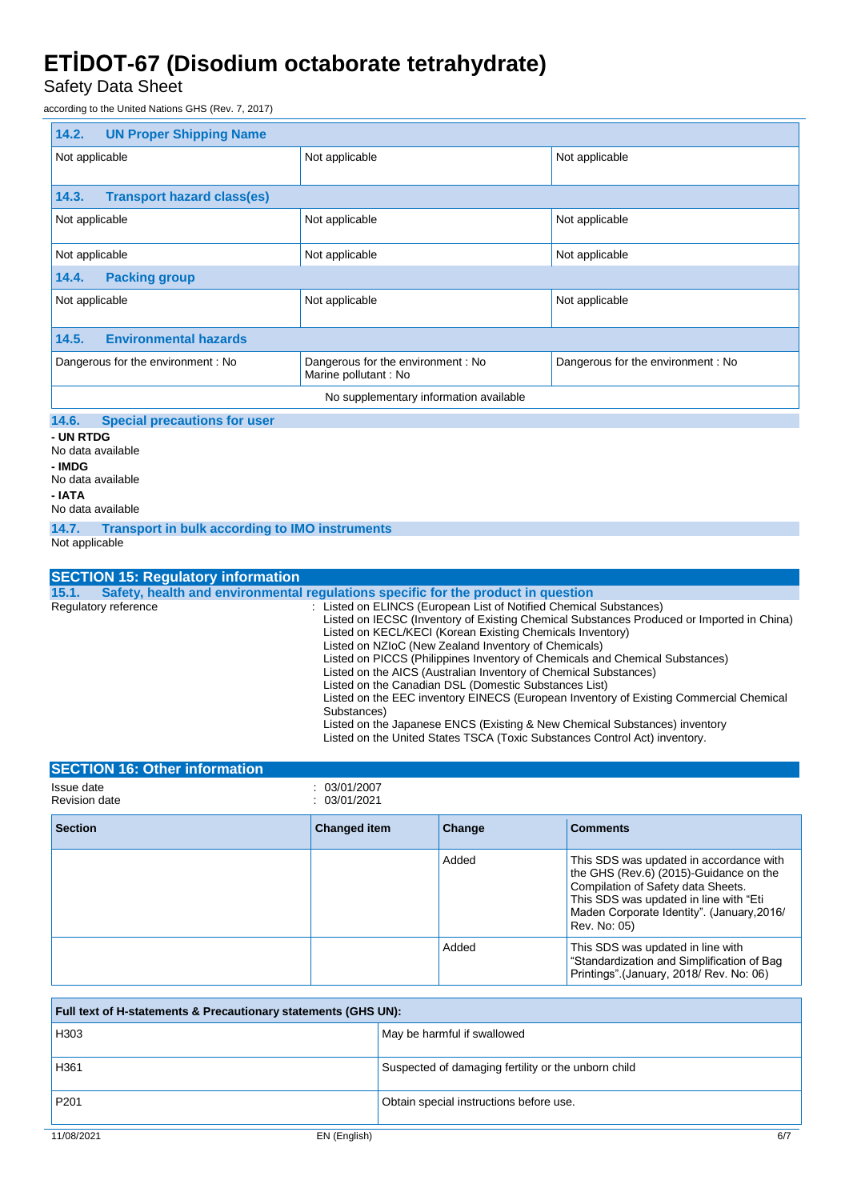Safety Data Sheet

according to the United Nations GHS (Rev. 7, 2017)

| 14.2.<br><b>UN Proper Shipping Name</b>    |                                                           |                                   |
|--------------------------------------------|-----------------------------------------------------------|-----------------------------------|
| Not applicable                             | Not applicable                                            | Not applicable                    |
|                                            |                                                           |                                   |
| <b>Transport hazard class(es)</b><br>14.3. |                                                           |                                   |
| Not applicable                             | Not applicable                                            | Not applicable                    |
| Not applicable                             | Not applicable                                            | Not applicable                    |
| 14.4.<br><b>Packing group</b>              |                                                           |                                   |
| Not applicable                             | Not applicable                                            | Not applicable                    |
|                                            |                                                           |                                   |
| 14.5.<br><b>Environmental hazards</b>      |                                                           |                                   |
| Dangerous for the environment: No          | Dangerous for the environment: No<br>Marine pollutant: No | Dangerous for the environment: No |
| No supplementary information available     |                                                           |                                   |
| $\sim$ $\sim$ $\sim$ $\sim$<br>_____       |                                                           |                                   |

#### **14.6. Special precautions for user**

**- UN RTDG** No data available **- IMDG** No data available **- IATA** No data available

**14.7. Transport in bulk according to IMO instruments**

Not applicable

|                      | <b>SECTION 15: Regulatory information</b>                                                                                                                                                                                                                                                                                                                                                                                                                                                                                                                                                                                                                                                                                                                              |
|----------------------|------------------------------------------------------------------------------------------------------------------------------------------------------------------------------------------------------------------------------------------------------------------------------------------------------------------------------------------------------------------------------------------------------------------------------------------------------------------------------------------------------------------------------------------------------------------------------------------------------------------------------------------------------------------------------------------------------------------------------------------------------------------------|
| 15.1.                | Safety, health and environmental regulations specific for the product in question                                                                                                                                                                                                                                                                                                                                                                                                                                                                                                                                                                                                                                                                                      |
| Regulatory reference | : Listed on ELINCS (European List of Notified Chemical Substances)<br>Listed on IECSC (Inventory of Existing Chemical Substances Produced or Imported in China)<br>Listed on KECL/KECI (Korean Existing Chemicals Inventory)<br>Listed on NZIoC (New Zealand Inventory of Chemicals)<br>Listed on PICCS (Philippines Inventory of Chemicals and Chemical Substances)<br>Listed on the AICS (Australian Inventory of Chemical Substances)<br>Listed on the Canadian DSL (Domestic Substances List)<br>Listed on the EEC inventory EINECS (European Inventory of Existing Commercial Chemical<br>Substances)<br>Listed on the Japanese ENCS (Existing & New Chemical Substances) inventory<br>Listed on the United States TSCA (Toxic Substances Control Act) inventory. |

| <b>SECTION 16: Other information</b> |                              |        |                                                                                                                                                                                                                                 |
|--------------------------------------|------------------------------|--------|---------------------------------------------------------------------------------------------------------------------------------------------------------------------------------------------------------------------------------|
| Issue date<br>Revision date          | : 03/01/2007<br>: 03/01/2021 |        |                                                                                                                                                                                                                                 |
| <b>Section</b>                       | <b>Changed item</b>          | Change | <b>Comments</b>                                                                                                                                                                                                                 |
|                                      |                              | Added  | This SDS was updated in accordance with<br>the GHS (Rev.6) (2015)-Guidance on the<br>Compilation of Safety data Sheets.<br>This SDS was updated in line with "Eti<br>Maden Corporate Identity". (January, 2016/<br>Rev. No: 05) |
|                                      |                              | Added  | This SDS was updated in line with<br>"Standardization and Simplification of Bag<br>Printings" (January, 2018/ Rev. No: 06)                                                                                                      |

| Full text of H-statements & Precautionary statements (GHS UN): |                                                     |  |
|----------------------------------------------------------------|-----------------------------------------------------|--|
| H <sub>303</sub>                                               | May be harmful if swallowed                         |  |
| H361                                                           | Suspected of damaging fertility or the unborn child |  |
| P <sub>201</sub>                                               | Obtain special instructions before use.             |  |